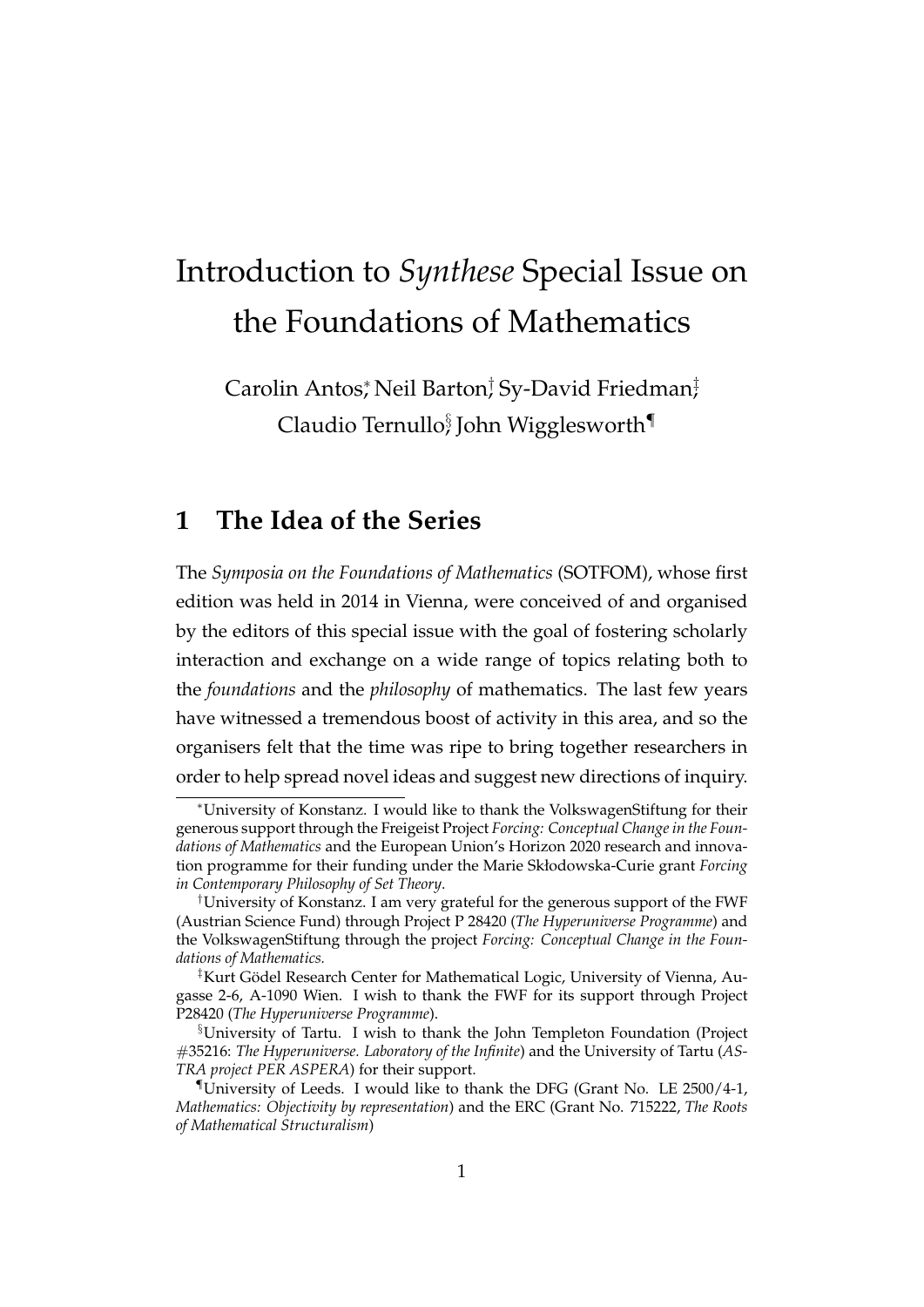# Introduction to *Synthese* Special Issue on the Foundations of Mathematics

Carolin Antos, <sup>\*</sup>Neil Barton, <sup>†</sup>Sy-David Friedman<del>,</del> Claudio Ternullo $\S$ John Wigglesworth $\P$ 

### **1 The Idea of the Series**

The *Symposia on the Foundations of Mathematics* (SOTFOM), whose first edition was held in 2014 in Vienna, were conceived of and organised by the editors of this special issue with the goal of fostering scholarly interaction and exchange on a wide range of topics relating both to the *foundations* and the *philosophy* of mathematics. The last few years have witnessed a tremendous boost of activity in this area, and so the organisers felt that the time was ripe to bring together researchers in order to help spread novel ideas and suggest new directions of inquiry.

<sup>∗</sup>University of Konstanz. I would like to thank the VolkswagenStiftung for their generous support through the Freigeist Project *Forcing: Conceptual Change in the Foundations of Mathematics* and the European Union's Horizon 2020 research and innovation programme for their funding under the Marie Skłodowska-Curie grant *Forcing in Contemporary Philosophy of Set Theory*.

<sup>†</sup>University of Konstanz. I am very grateful for the generous support of the FWF (Austrian Science Fund) through Project P 28420 (*The Hyperuniverse Programme*) and the VolkswagenStiftung through the project *Forcing: Conceptual Change in the Foundations of Mathematics.*

<sup>&</sup>lt;sup>‡</sup>Kurt Gödel Research Center for Mathematical Logic, University of Vienna, Augasse 2-6, A-1090 Wien. I wish to thank the FWF for its support through Project P28420 (*The Hyperuniverse Programme*).

<sup>§</sup>University of Tartu. I wish to thank the John Templeton Foundation (Project #35216: *The Hyperuniverse. Laboratory of the Infinite*) and the University of Tartu (*AS-TRA project PER ASPERA*) for their support.

University of Leeds. I would like to thank the DFG (Grant No. LE  $2500/4-1$ , *Mathematics: Objectivity by representation*) and the ERC (Grant No. 715222, *The Roots of Mathematical Structuralism*)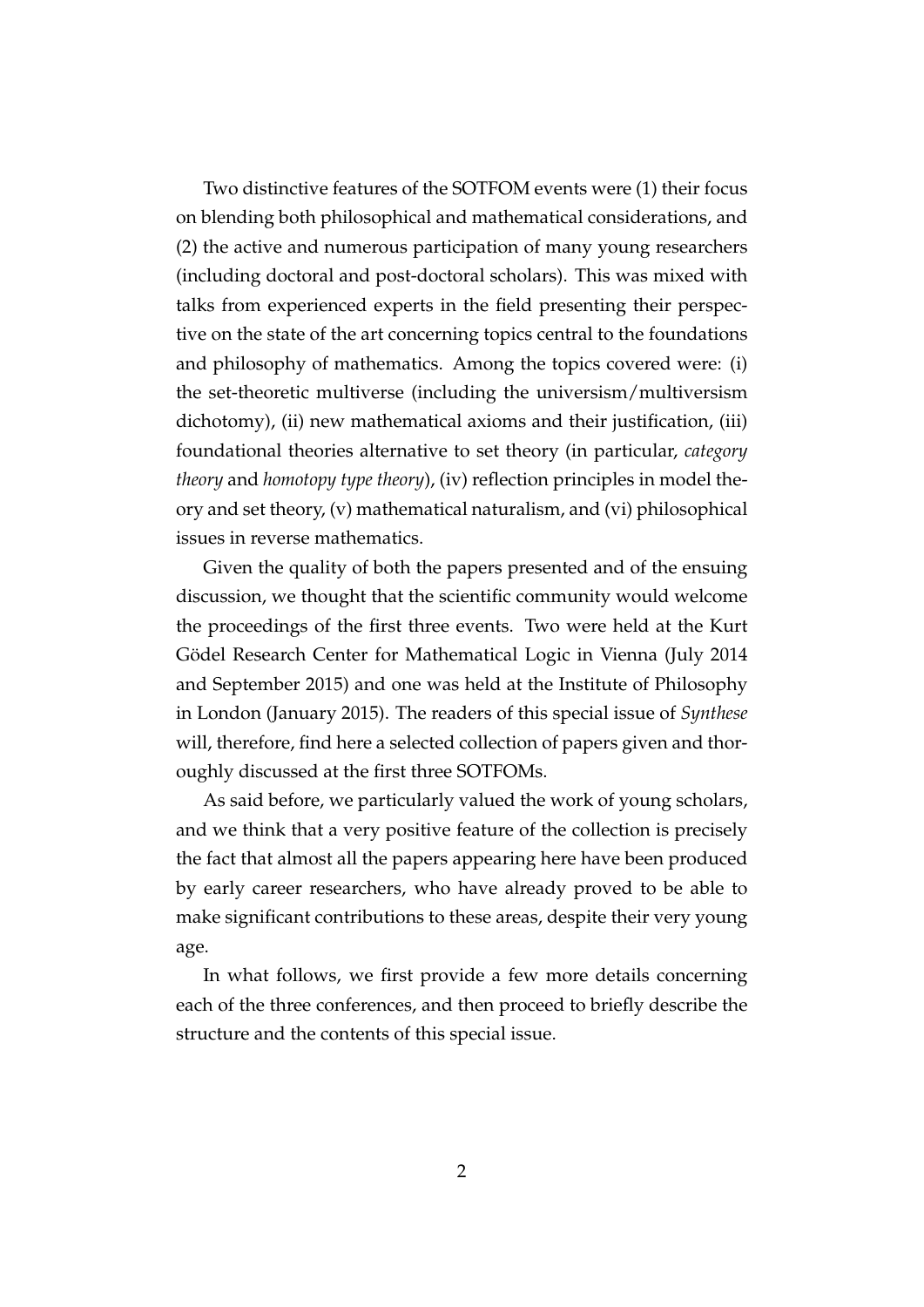Two distinctive features of the SOTFOM events were (1) their focus on blending both philosophical and mathematical considerations, and (2) the active and numerous participation of many young researchers (including doctoral and post-doctoral scholars). This was mixed with talks from experienced experts in the field presenting their perspective on the state of the art concerning topics central to the foundations and philosophy of mathematics. Among the topics covered were: (i) the set-theoretic multiverse (including the universism/multiversism dichotomy), (ii) new mathematical axioms and their justification, (iii) foundational theories alternative to set theory (in particular, *category theory* and *homotopy type theory*), (iv) reflection principles in model theory and set theory, (v) mathematical naturalism, and (vi) philosophical issues in reverse mathematics.

Given the quality of both the papers presented and of the ensuing discussion, we thought that the scientific community would welcome the proceedings of the first three events. Two were held at the Kurt Gödel Research Center for Mathematical Logic in Vienna (July 2014 and September 2015) and one was held at the Institute of Philosophy in London (January 2015). The readers of this special issue of *Synthese* will, therefore, find here a selected collection of papers given and thoroughly discussed at the first three SOTFOMs.

As said before, we particularly valued the work of young scholars, and we think that a very positive feature of the collection is precisely the fact that almost all the papers appearing here have been produced by early career researchers, who have already proved to be able to make significant contributions to these areas, despite their very young age.

In what follows, we first provide a few more details concerning each of the three conferences, and then proceed to briefly describe the structure and the contents of this special issue.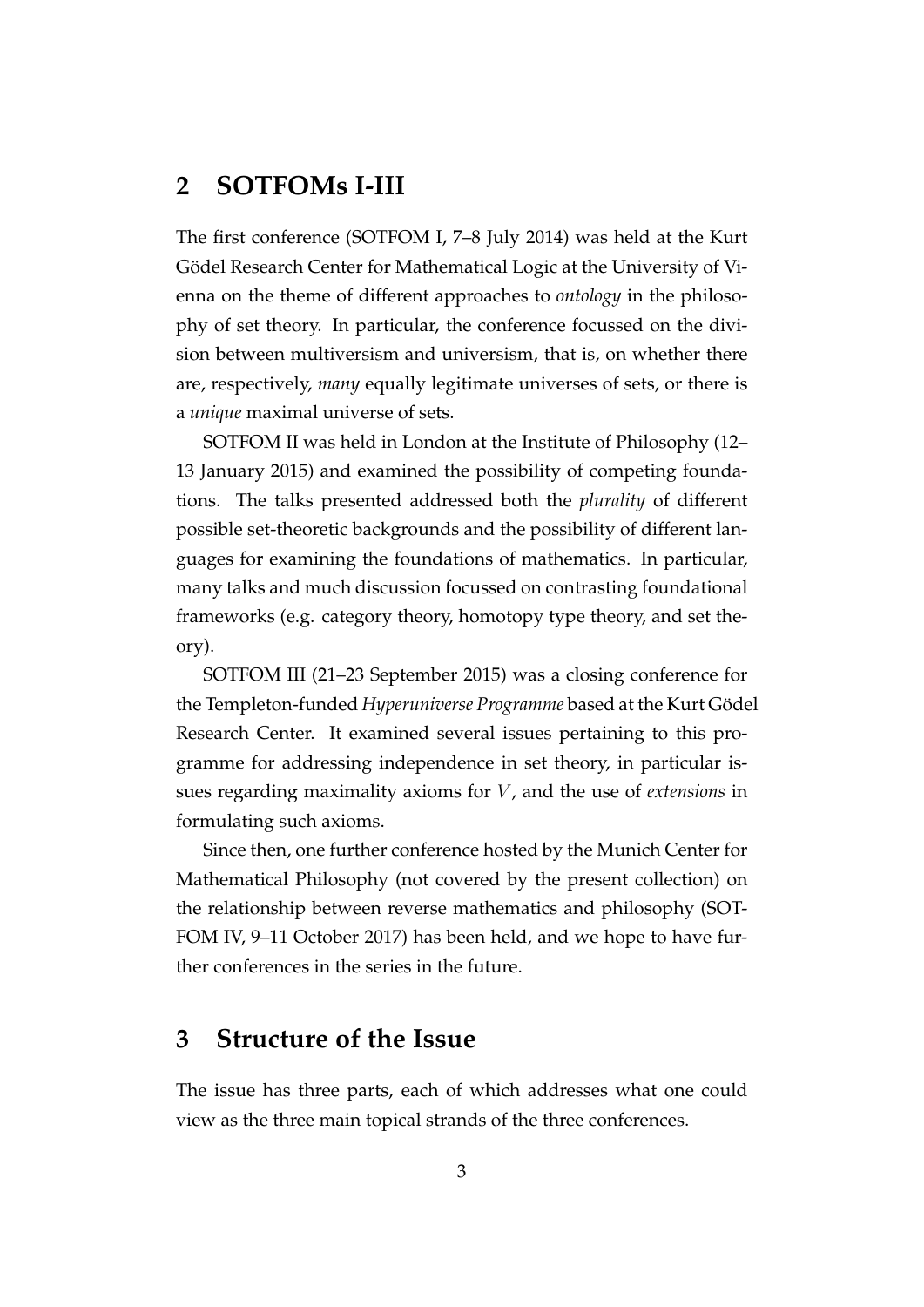## **2 SOTFOMs I-III**

The first conference (SOTFOM I, 7–8 July 2014) was held at the Kurt Gödel Research Center for Mathematical Logic at the University of Vienna on the theme of different approaches to *ontology* in the philosophy of set theory. In particular, the conference focussed on the division between multiversism and universism, that is, on whether there are, respectively, *many* equally legitimate universes of sets, or there is a *unique* maximal universe of sets.

SOTFOM II was held in London at the Institute of Philosophy (12– 13 January 2015) and examined the possibility of competing foundations. The talks presented addressed both the *plurality* of different possible set-theoretic backgrounds and the possibility of different languages for examining the foundations of mathematics. In particular, many talks and much discussion focussed on contrasting foundational frameworks (e.g. category theory, homotopy type theory, and set theory).

SOTFOM III (21–23 September 2015) was a closing conference for the Templeton-funded *Hyperuniverse Programme* based at the Kurt Gödel Research Center. It examined several issues pertaining to this programme for addressing independence in set theory, in particular issues regarding maximality axioms for V , and the use of *extensions* in formulating such axioms.

Since then, one further conference hosted by the Munich Center for Mathematical Philosophy (not covered by the present collection) on the relationship between reverse mathematics and philosophy (SOT-FOM IV, 9–11 October 2017) has been held, and we hope to have further conferences in the series in the future.

#### **3 Structure of the Issue**

The issue has three parts, each of which addresses what one could view as the three main topical strands of the three conferences.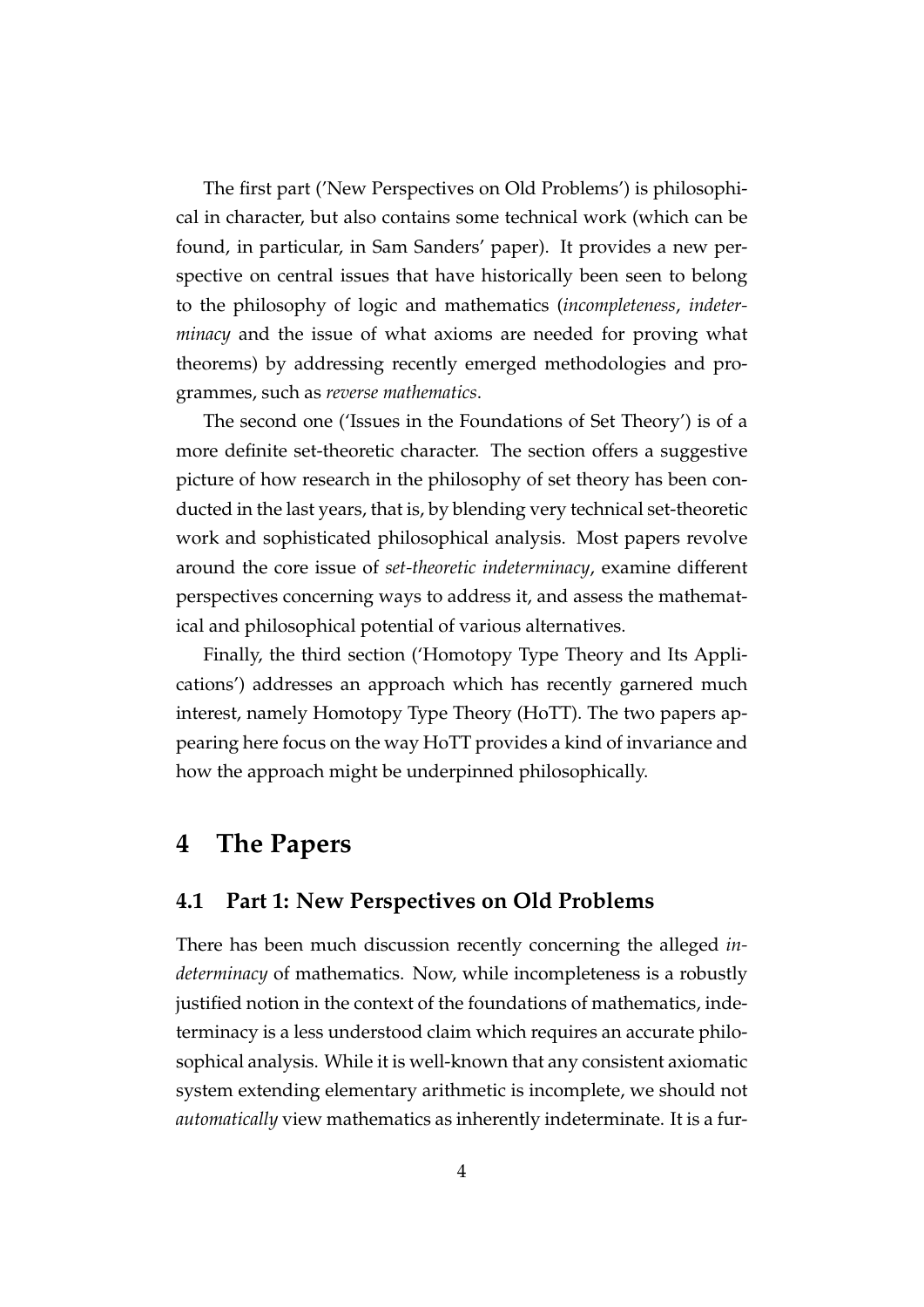The first part ('New Perspectives on Old Problems') is philosophical in character, but also contains some technical work (which can be found, in particular, in Sam Sanders' paper). It provides a new perspective on central issues that have historically been seen to belong to the philosophy of logic and mathematics (*incompleteness*, *indeterminacy* and the issue of what axioms are needed for proving what theorems) by addressing recently emerged methodologies and programmes, such as *reverse mathematics*.

The second one ('Issues in the Foundations of Set Theory') is of a more definite set-theoretic character. The section offers a suggestive picture of how research in the philosophy of set theory has been conducted in the last years, that is, by blending very technical set-theoretic work and sophisticated philosophical analysis. Most papers revolve around the core issue of *set-theoretic indeterminacy*, examine different perspectives concerning ways to address it, and assess the mathematical and philosophical potential of various alternatives.

Finally, the third section ('Homotopy Type Theory and Its Applications') addresses an approach which has recently garnered much interest, namely Homotopy Type Theory (HoTT). The two papers appearing here focus on the way HoTT provides a kind of invariance and how the approach might be underpinned philosophically.

# **4 The Papers**

#### **4.1 Part 1: New Perspectives on Old Problems**

There has been much discussion recently concerning the alleged *indeterminacy* of mathematics. Now, while incompleteness is a robustly justified notion in the context of the foundations of mathematics, indeterminacy is a less understood claim which requires an accurate philosophical analysis. While it is well-known that any consistent axiomatic system extending elementary arithmetic is incomplete, we should not *automatically* view mathematics as inherently indeterminate. It is a fur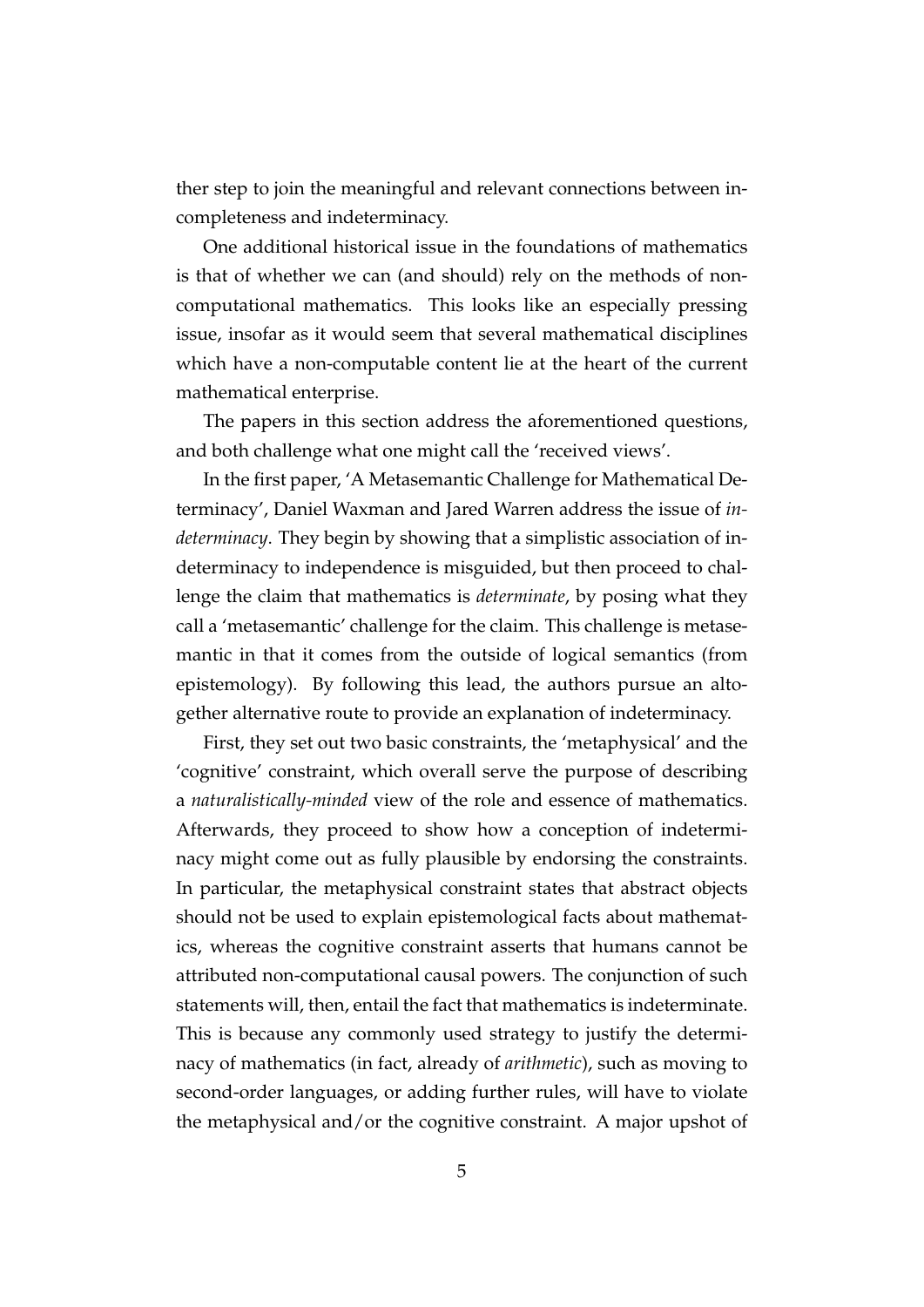ther step to join the meaningful and relevant connections between incompleteness and indeterminacy.

One additional historical issue in the foundations of mathematics is that of whether we can (and should) rely on the methods of noncomputational mathematics. This looks like an especially pressing issue, insofar as it would seem that several mathematical disciplines which have a non-computable content lie at the heart of the current mathematical enterprise.

The papers in this section address the aforementioned questions, and both challenge what one might call the 'received views'.

In the first paper, 'A Metasemantic Challenge for Mathematical Determinacy', Daniel Waxman and Jared Warren address the issue of *indeterminacy*. They begin by showing that a simplistic association of indeterminacy to independence is misguided, but then proceed to challenge the claim that mathematics is *determinate*, by posing what they call a 'metasemantic' challenge for the claim. This challenge is metasemantic in that it comes from the outside of logical semantics (from epistemology). By following this lead, the authors pursue an altogether alternative route to provide an explanation of indeterminacy.

First, they set out two basic constraints, the 'metaphysical' and the 'cognitive' constraint, which overall serve the purpose of describing a *naturalistically-minded* view of the role and essence of mathematics. Afterwards, they proceed to show how a conception of indeterminacy might come out as fully plausible by endorsing the constraints. In particular, the metaphysical constraint states that abstract objects should not be used to explain epistemological facts about mathematics, whereas the cognitive constraint asserts that humans cannot be attributed non-computational causal powers. The conjunction of such statements will, then, entail the fact that mathematics is indeterminate. This is because any commonly used strategy to justify the determinacy of mathematics (in fact, already of *arithmetic*), such as moving to second-order languages, or adding further rules, will have to violate the metaphysical and/or the cognitive constraint. A major upshot of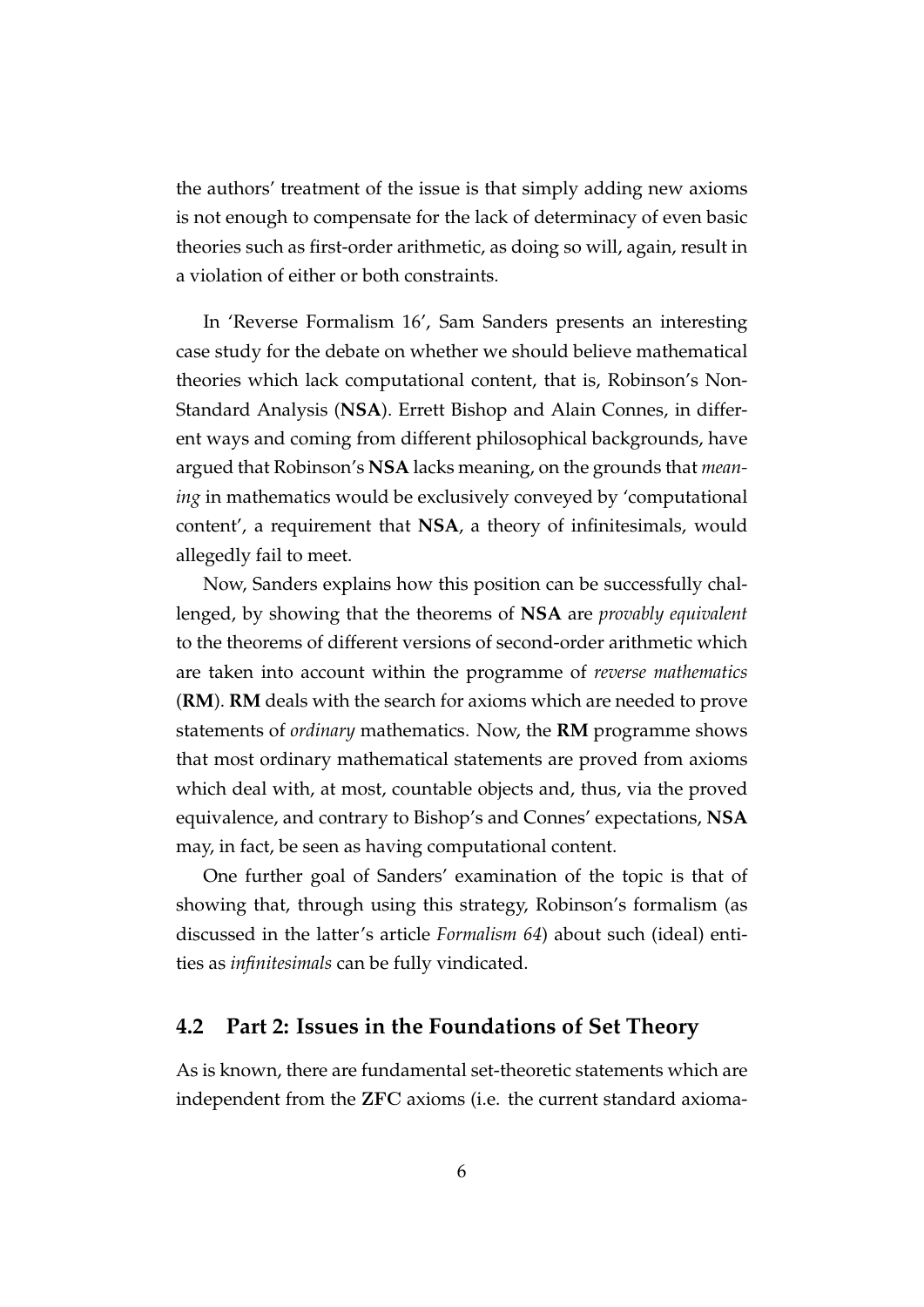the authors' treatment of the issue is that simply adding new axioms is not enough to compensate for the lack of determinacy of even basic theories such as first-order arithmetic, as doing so will, again, result in a violation of either or both constraints.

In 'Reverse Formalism 16', Sam Sanders presents an interesting case study for the debate on whether we should believe mathematical theories which lack computational content, that is, Robinson's Non-Standard Analysis (**NSA**). Errett Bishop and Alain Connes, in different ways and coming from different philosophical backgrounds, have argued that Robinson's **NSA** lacks meaning, on the grounds that *meaning* in mathematics would be exclusively conveyed by 'computational content', a requirement that **NSA**, a theory of infinitesimals, would allegedly fail to meet.

Now, Sanders explains how this position can be successfully challenged, by showing that the theorems of **NSA** are *provably equivalent* to the theorems of different versions of second-order arithmetic which are taken into account within the programme of *reverse mathematics* (**RM**). **RM** deals with the search for axioms which are needed to prove statements of *ordinary* mathematics. Now, the **RM** programme shows that most ordinary mathematical statements are proved from axioms which deal with, at most, countable objects and, thus, via the proved equivalence, and contrary to Bishop's and Connes' expectations, **NSA** may, in fact, be seen as having computational content.

One further goal of Sanders' examination of the topic is that of showing that, through using this strategy, Robinson's formalism (as discussed in the latter's article *Formalism 64*) about such (ideal) entities as *infinitesimals* can be fully vindicated.

#### **4.2 Part 2: Issues in the Foundations of Set Theory**

As is known, there are fundamental set-theoretic statements which are independent from the ZFC axioms (i.e. the current standard axioma-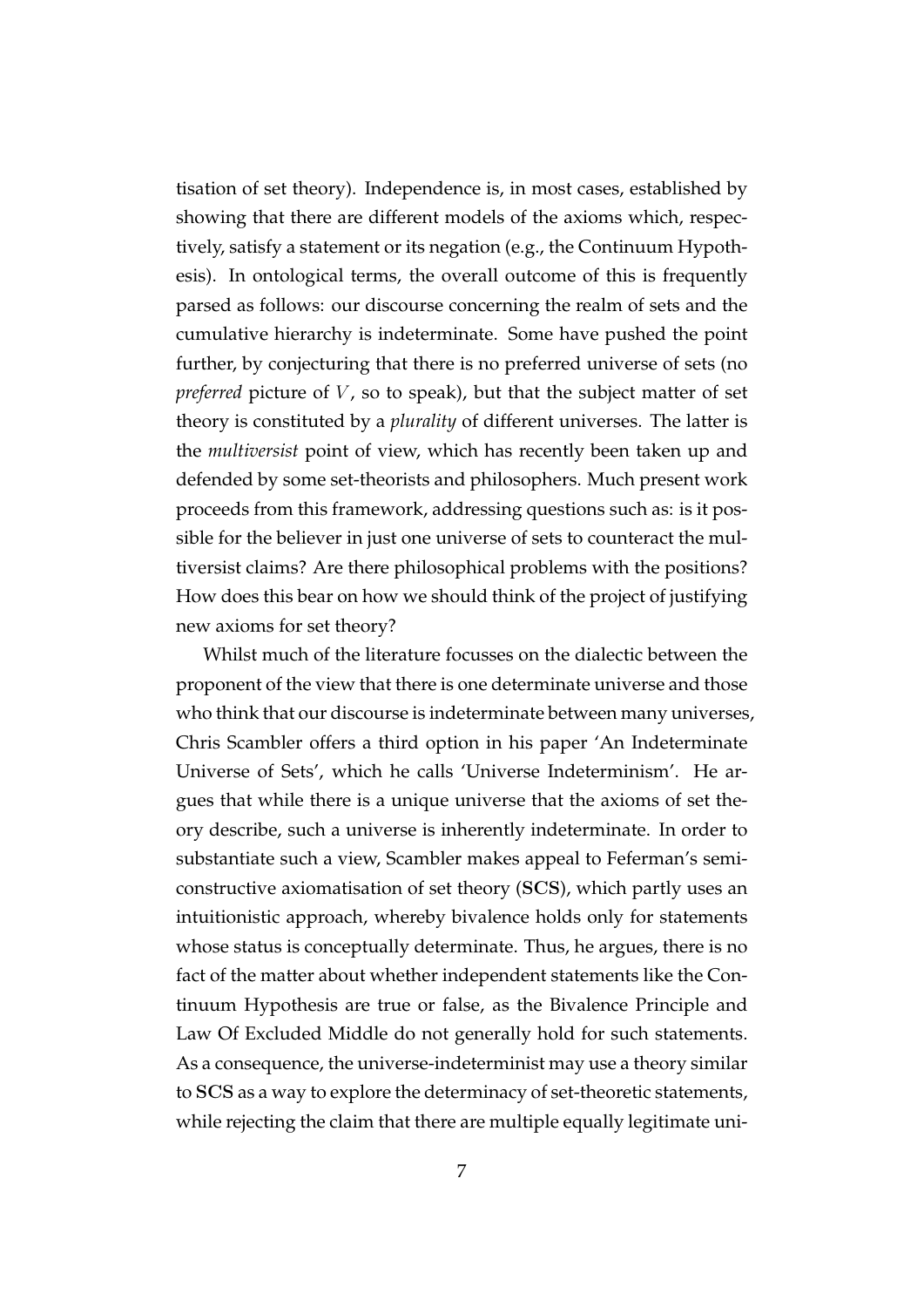tisation of set theory). Independence is, in most cases, established by showing that there are different models of the axioms which, respectively, satisfy a statement or its negation (e.g., the Continuum Hypothesis). In ontological terms, the overall outcome of this is frequently parsed as follows: our discourse concerning the realm of sets and the cumulative hierarchy is indeterminate. Some have pushed the point further, by conjecturing that there is no preferred universe of sets (no *preferred* picture of  $V$ , so to speak), but that the subject matter of set theory is constituted by a *plurality* of different universes. The latter is the *multiversist* point of view, which has recently been taken up and defended by some set-theorists and philosophers. Much present work proceeds from this framework, addressing questions such as: is it possible for the believer in just one universe of sets to counteract the multiversist claims? Are there philosophical problems with the positions? How does this bear on how we should think of the project of justifying new axioms for set theory?

Whilst much of the literature focusses on the dialectic between the proponent of the view that there is one determinate universe and those who think that our discourse is indeterminate between many universes, Chris Scambler offers a third option in his paper 'An Indeterminate Universe of Sets', which he calls 'Universe Indeterminism'. He argues that while there is a unique universe that the axioms of set theory describe, such a universe is inherently indeterminate. In order to substantiate such a view, Scambler makes appeal to Feferman's semiconstructive axiomatisation of set theory (SCS), which partly uses an intuitionistic approach, whereby bivalence holds only for statements whose status is conceptually determinate. Thus, he argues, there is no fact of the matter about whether independent statements like the Continuum Hypothesis are true or false, as the Bivalence Principle and Law Of Excluded Middle do not generally hold for such statements. As a consequence, the universe-indeterminist may use a theory similar to SCS as a way to explore the determinacy of set-theoretic statements, while rejecting the claim that there are multiple equally legitimate uni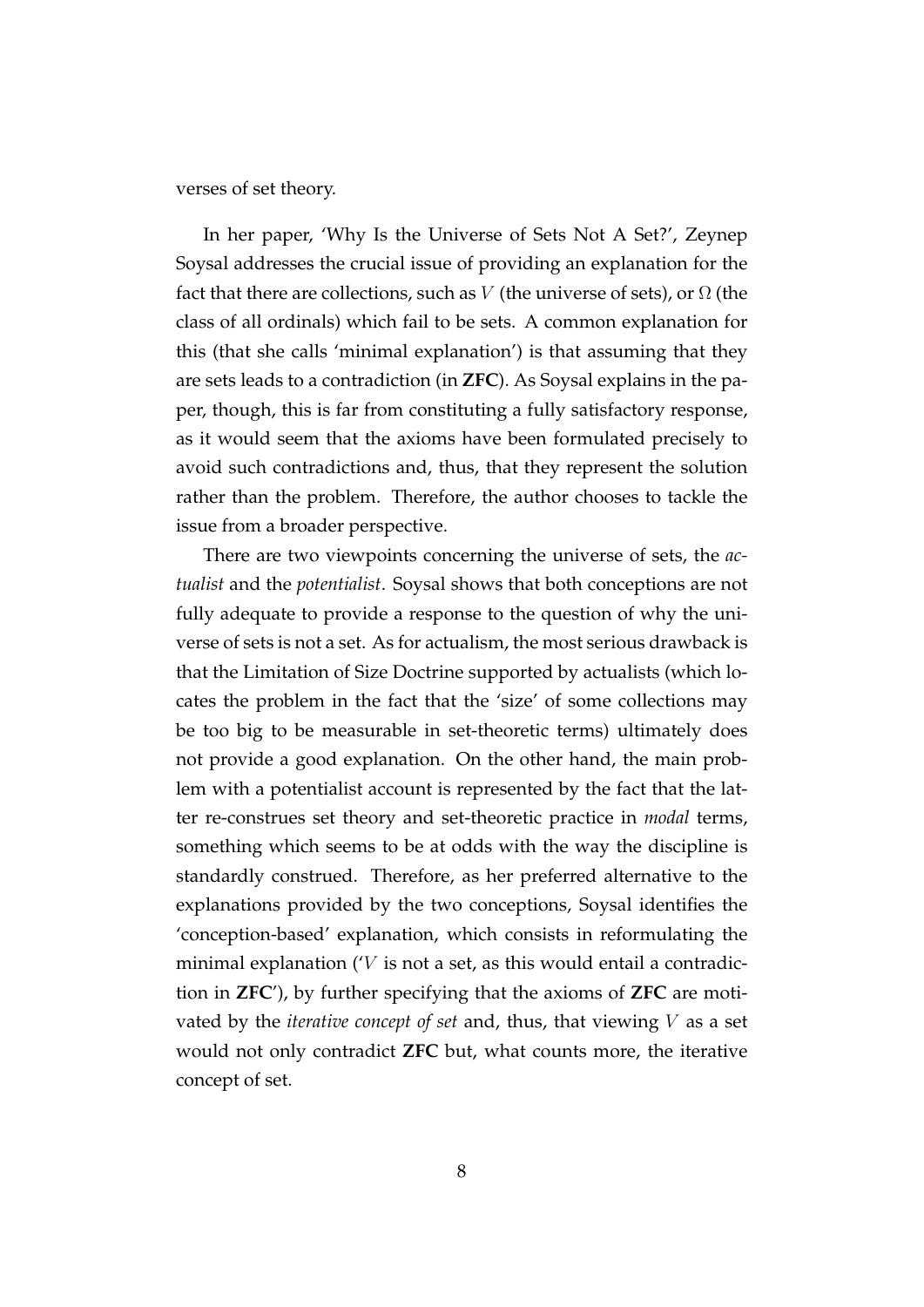verses of set theory.

In her paper, 'Why Is the Universe of Sets Not A Set?', Zeynep Soysal addresses the crucial issue of providing an explanation for the fact that there are collections, such as V (the universe of sets), or  $\Omega$  (the class of all ordinals) which fail to be sets. A common explanation for this (that she calls 'minimal explanation') is that assuming that they are sets leads to a contradiction (in **ZFC**). As Soysal explains in the paper, though, this is far from constituting a fully satisfactory response, as it would seem that the axioms have been formulated precisely to avoid such contradictions and, thus, that they represent the solution rather than the problem. Therefore, the author chooses to tackle the issue from a broader perspective.

There are two viewpoints concerning the universe of sets, the *actualist* and the *potentialist*. Soysal shows that both conceptions are not fully adequate to provide a response to the question of why the universe of sets is not a set. As for actualism, the most serious drawback is that the Limitation of Size Doctrine supported by actualists (which locates the problem in the fact that the 'size' of some collections may be too big to be measurable in set-theoretic terms) ultimately does not provide a good explanation. On the other hand, the main problem with a potentialist account is represented by the fact that the latter re-construes set theory and set-theoretic practice in *modal* terms, something which seems to be at odds with the way the discipline is standardly construed. Therefore, as her preferred alternative to the explanations provided by the two conceptions, Soysal identifies the 'conception-based' explanation, which consists in reformulating the minimal explanation ( $V$  is not a set, as this would entail a contradiction in **ZFC**'), by further specifying that the axioms of **ZFC** are motivated by the *iterative concept of set* and, thus, that viewing V as a set would not only contradict **ZFC** but, what counts more, the iterative concept of set.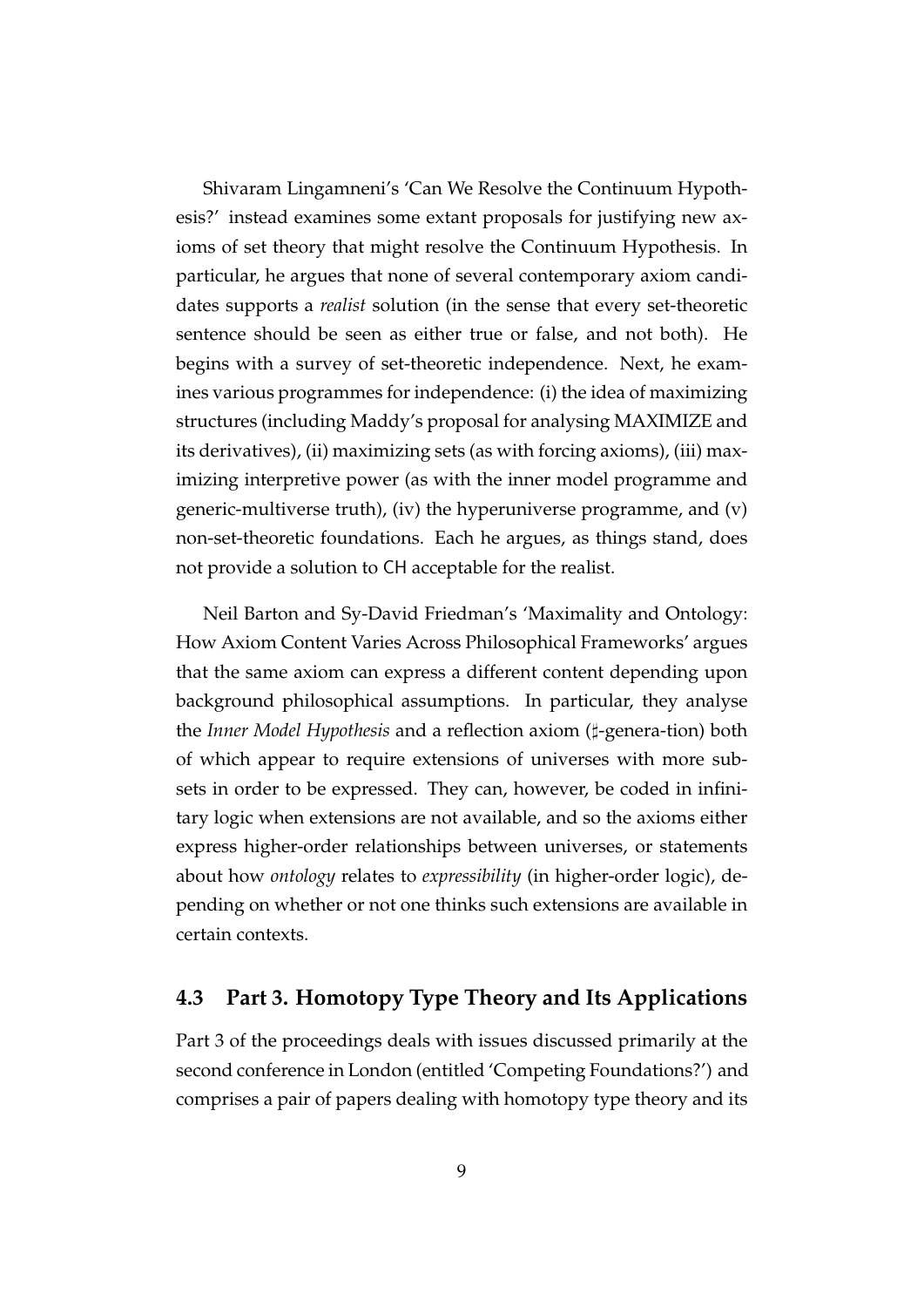Shivaram Lingamneni's 'Can We Resolve the Continuum Hypothesis?' instead examines some extant proposals for justifying new axioms of set theory that might resolve the Continuum Hypothesis. In particular, he argues that none of several contemporary axiom candidates supports a *realist* solution (in the sense that every set-theoretic sentence should be seen as either true or false, and not both). He begins with a survey of set-theoretic independence. Next, he examines various programmes for independence: (i) the idea of maximizing structures (including Maddy's proposal for analysing MAXIMIZE and its derivatives), (ii) maximizing sets (as with forcing axioms), (iii) maximizing interpretive power (as with the inner model programme and generic-multiverse truth), (iv) the hyperuniverse programme, and (v) non-set-theoretic foundations. Each he argues, as things stand, does not provide a solution to CH acceptable for the realist.

Neil Barton and Sy-David Friedman's 'Maximality and Ontology: How Axiom Content Varies Across Philosophical Frameworks' argues that the same axiom can express a different content depending upon background philosophical assumptions. In particular, they analyse the *Inner Model Hypothesis* and a reflection axiom (]-genera-tion) both of which appear to require extensions of universes with more subsets in order to be expressed. They can, however, be coded in infinitary logic when extensions are not available, and so the axioms either express higher-order relationships between universes, or statements about how *ontology* relates to *expressibility* (in higher-order logic), depending on whether or not one thinks such extensions are available in certain contexts.

#### **4.3 Part 3. Homotopy Type Theory and Its Applications**

Part 3 of the proceedings deals with issues discussed primarily at the second conference in London (entitled 'Competing Foundations?') and comprises a pair of papers dealing with homotopy type theory and its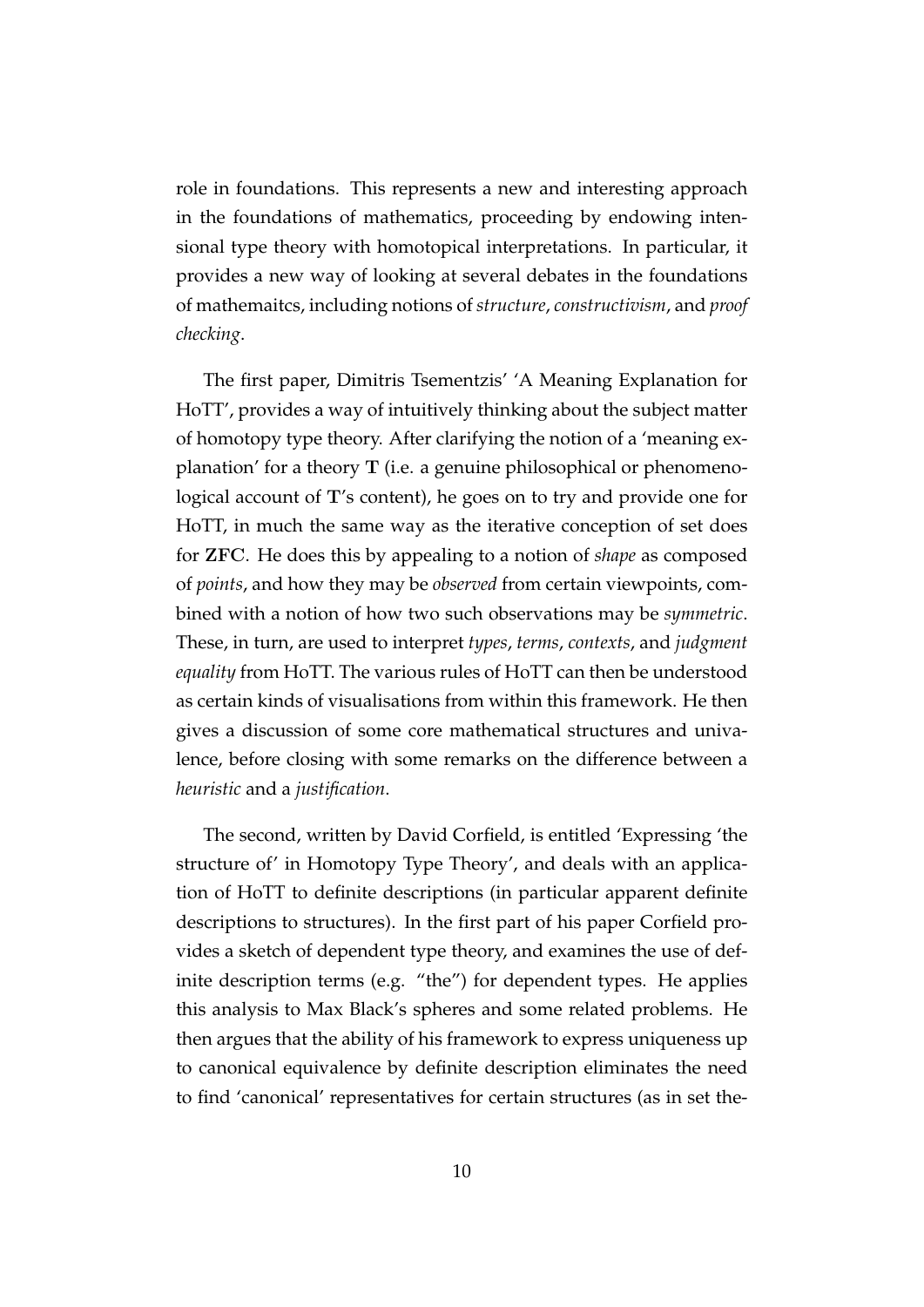role in foundations. This represents a new and interesting approach in the foundations of mathematics, proceeding by endowing intensional type theory with homotopical interpretations. In particular, it provides a new way of looking at several debates in the foundations of mathemaitcs, including notions of *structure*, *constructivism*, and *proof checking*.

The first paper, Dimitris Tsementzis' 'A Meaning Explanation for HoTT', provides a way of intuitively thinking about the subject matter of homotopy type theory. After clarifying the notion of a 'meaning explanation' for a theory  $T$  (i.e. a genuine philosophical or phenomenological account of T's content), he goes on to try and provide one for HoTT, in much the same way as the iterative conception of set does for ZFC. He does this by appealing to a notion of *shape* as composed of *points*, and how they may be *observed* from certain viewpoints, combined with a notion of how two such observations may be *symmetric*. These, in turn, are used to interpret *types*, *terms*, *contexts*, and *judgment equality* from HoTT. The various rules of HoTT can then be understood as certain kinds of visualisations from within this framework. He then gives a discussion of some core mathematical structures and univalence, before closing with some remarks on the difference between a *heuristic* and a *justification*.

The second, written by David Corfield, is entitled 'Expressing 'the structure of' in Homotopy Type Theory', and deals with an application of HoTT to definite descriptions (in particular apparent definite descriptions to structures). In the first part of his paper Corfield provides a sketch of dependent type theory, and examines the use of definite description terms (e.g. "the") for dependent types. He applies this analysis to Max Black's spheres and some related problems. He then argues that the ability of his framework to express uniqueness up to canonical equivalence by definite description eliminates the need to find 'canonical' representatives for certain structures (as in set the